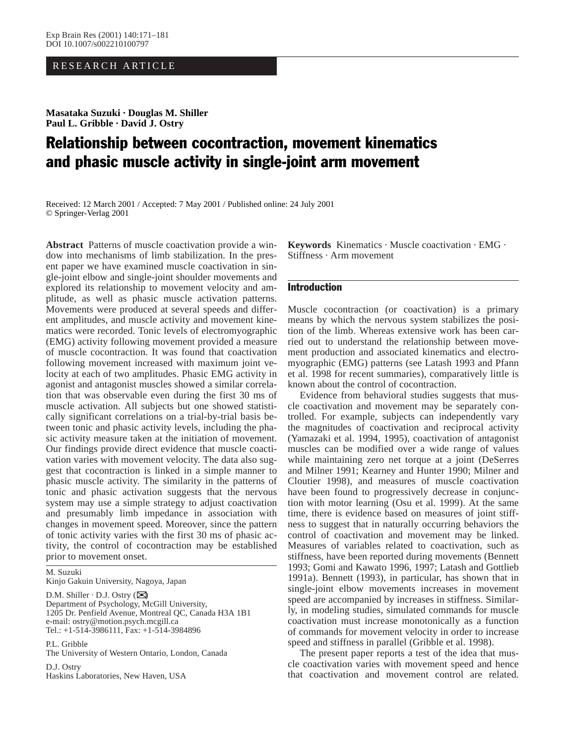# RESEARCH ARTICLE

**Masataka Suzuki · Douglas M. Shiller Paul L. Gribble · David J. Ostry**

# Relationship between cocontraction, movement kinematics and phasic muscle activity in single-joint arm movement

Received: 12 March 2001 / Accepted: 7 May 2001 / Published online: 24 July 2001 © Springer-Verlag 2001

**Abstract** Patterns of muscle coactivation provide a window into mechanisms of limb stabilization. In the present paper we have examined muscle coactivation in single-joint elbow and single-joint shoulder movements and explored its relationship to movement velocity and amplitude, as well as phasic muscle activation patterns. Movements were produced at several speeds and different amplitudes, and muscle activity and movement kinematics were recorded. Tonic levels of electromyographic (EMG) activity following movement provided a measure of muscle cocontraction. It was found that coactivation following movement increased with maximum joint velocity at each of two amplitudes. Phasic EMG activity in agonist and antagonist muscles showed a similar correlation that was observable even during the first 30 ms of muscle activation. All subjects but one showed statistically significant correlations on a trial-by-trial basis between tonic and phasic activity levels, including the phasic activity measure taken at the initiation of movement. Our findings provide direct evidence that muscle coactivation varies with movement velocity. The data also suggest that cocontraction is linked in a simple manner to phasic muscle activity. The similarity in the patterns of tonic and phasic activation suggests that the nervous system may use a simple strategy to adjust coactivation and presumably limb impedance in association with changes in movement speed. Moreover, since the pattern of tonic activity varies with the first 30 ms of phasic activity, the control of cocontraction may be established prior to movement onset.

M. Suzuki

Kinjo Gakuin University, Nagoya, Japan

D.M. Shiller  $\cdot$  D.J. Ostry ( $\boxtimes$ ) Department of Psychology, McGill University, 1205 Dr. Penfield Avenue, Montreal QC, Canada H3A 1B1 e-mail: ostry@motion.psych.mcgill.ca Tel.: +1-514-3986111, Fax: +1-514-3984896

P.L. Gribble The University of Western Ontario, London, Canada

D.J. Ostry Haskins Laboratories, New Haven, USA **Keywords** Kinematics · Muscle coactivation · EMG · Stiffness · Arm movement

# Introduction

Muscle cocontraction (or coactivation) is a primary means by which the nervous system stabilizes the position of the limb. Whereas extensive work has been carried out to understand the relationship between movement production and associated kinematics and electromyographic (EMG) patterns (see Latash 1993 and Pfann et al. 1998 for recent summaries), comparatively little is known about the control of cocontraction.

Evidence from behavioral studies suggests that muscle coactivation and movement may be separately controlled. For example, subjects can independently vary the magnitudes of coactivation and reciprocal activity (Yamazaki et al. 1994, 1995), coactivation of antagonist muscles can be modified over a wide range of values while maintaining zero net torque at a joint (DeSerres and Milner 1991; Kearney and Hunter 1990; Milner and Cloutier 1998), and measures of muscle coactivation have been found to progressively decrease in conjunction with motor learning (Osu et al. 1999). At the same time, there is evidence based on measures of joint stiffness to suggest that in naturally occurring behaviors the control of coactivation and movement may be linked. Measures of variables related to coactivation, such as stiffness, have been reported during movements (Bennett 1993; Gomi and Kawato 1996, 1997; Latash and Gottlieb 1991a). Bennett (1993), in particular, has shown that in single-joint elbow movements increases in movement speed are accompanied by increases in stiffness. Similarly, in modeling studies, simulated commands for muscle coactivation must increase monotonically as a function of commands for movement velocity in order to increase speed and stiffness in parallel (Gribble et al. 1998).

The present paper reports a test of the idea that muscle coactivation varies with movement speed and hence that coactivation and movement control are related.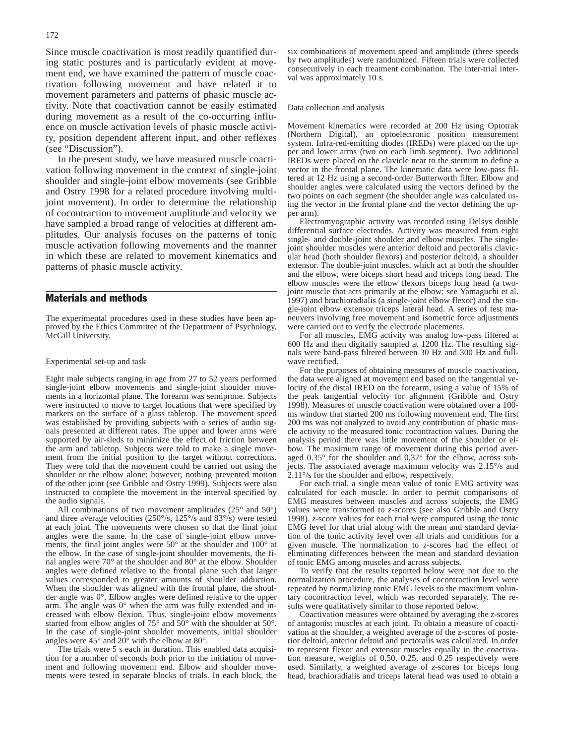Since muscle coactivation is most readily quantified during static postures and is particularly evident at movement end, we have examined the pattern of muscle coactivation following movement and have related it to movement parameters and patterns of phasic muscle activity. Note that coactivation cannot be easily estimated during movement as a result of the co-occurring influence on muscle activation levels of phasic muscle activity, position dependent afferent input, and other reflexes (see "Discussion").

In the present study, we have measured muscle coactivation following movement in the context of single-joint shoulder and single-joint elbow movements (see Gribble and Ostry 1998 for a related procedure involving multijoint movement). In order to determine the relationship of cocontraction to movement amplitude and velocity we have sampled a broad range of velocities at different amplitudes. Our analysis focuses on the patterns of tonic muscle activation following movements and the manner in which these are related to movement kinematics and patterns of phasic muscle activity.

# Materials and methods

The experimental procedures used in these studies have been approved by the Ethics Committee of the Department of Psychology, McGill University.

#### Experimental set-up and task

Eight male subjects ranging in age from 27 to 52 years performed single-joint elbow movements and single-joint shoulder movements in a horizontal plane. The forearm was semiprone. Subjects were instructed to move to target locations that were specified by markers on the surface of a glass tabletop. The movement speed was established by providing subjects with a series of audio signals presented at different rates. The upper and lower arms were supported by air-sleds to minimize the effect of friction between the arm and tabletop. Subjects were told to make a single movement from the initial position to the target without corrections. They were told that the movement could be carried out using the shoulder or the elbow alone; however, nothing prevented motion of the other joint (see Gribble and Ostry 1999). Subjects were also instructed to complete the movement in the interval specified by the audio signals.

All combinations of two movement amplitudes  $(25^{\circ}$  and  $50^{\circ})$ and three average velocities (250°/s, 125°/s and 83°/s) were tested at each joint. The movements were chosen so that the final joint angles were the same. In the case of single-joint elbow movements, the final joint angles were 50° at the shoulder and 100° at the elbow. In the case of single-joint shoulder movements, the final angles were 70° at the shoulder and 80° at the elbow. Shoulder angles were defined relative to the frontal plane such that larger values corresponded to greater amounts of shoulder adduction. When the shoulder was aligned with the frontal plane, the shoulder angle was 0°. Elbow angles were defined relative to the upper arm. The angle was  $0^{\circ}$  when the arm was fully extended and increased with elbow flexion. Thus, single-joint elbow movements started from elbow angles of 75° and 50° with the shoulder at 50°. In the case of single-joint shoulder movements, initial shoulder angles were  $45^{\circ}$  and  $20^{\circ}$  with the elbow at  $80^{\circ}$ .

The trials were 5 s each in duration. This enabled data acquisition for a number of seconds both prior to the initiation of movement and following movement end. Elbow and shoulder movements were tested in separate blocks of trials. In each block, the six combinations of movement speed and amplitude (three speeds by two amplitudes) were randomized. Fifteen trials were collected consecutively in each treatment combination. The inter-trial interval was approximately 10 s.

#### Data collection and analysis

Movement kinematics were recorded at 200 Hz using Optotrak (Northern Digital), an optoelectronic position measurement system. Infra-red-emitting diodes (IREDs) were placed on the upper and lower arms (two on each limb segment). Two additional IREDs were placed on the clavicle near to the sternum to define a vector in the frontal plane. The kinematic data were low-pass filtered at 12 Hz using a second-order Butterworth filter. Elbow and shoulder angles were calculated using the vectors defined by the two points on each segment (the shoulder angle was calculated using the vector in the frontal plane and the vector defining the upper arm).

Electromyographic activity was recorded using Delsys double differential surface electrodes. Activity was measured from eight single- and double-joint shoulder and elbow muscles. The singlejoint shoulder muscles were anterior deltoid and pectoralis clavicular head (both shoulder flexors) and posterior deltoid, a shoulder extensor. The double-joint muscles, which act at both the shoulder and the elbow, were biceps short head and triceps long head. The elbow muscles were the elbow flexors biceps long head (a twojoint muscle that acts primarily at the elbow; see Yamaguchi et al. 1997) and brachioradialis (a single-joint elbow flexor) and the single-joint elbow extensor triceps lateral head. A series of test maneuvers involving free movement and isometric force adjustments were carried out to verify the electrode placements.

For all muscles, EMG activity was analog low-pass filtered at 600 Hz and then digitally sampled at 1200 Hz. The resulting signals were band-pass filtered between 30 Hz and 300 Hz and fullwave rectified.

For the purposes of obtaining measures of muscle coactivation, the data were aligned at movement end based on the tangential velocity of the distal IRED on the forearm, using a value of 15% of the peak tangential velocity for alignment (Gribble and Ostry 1998). Measures of muscle coactivation were obtained over a 100 ms window that started 200 ms following movement end. The first 200 ms was not analyzed to avoid any contribution of phasic muscle activity to the measured tonic cocontraction values. During the analysis period there was little movement of the shoulder or elbow. The maximum range of movement during this period averaged 0.35° for the shoulder and 0.37° for the elbow, across subjects. The associated average maximum velocity was 2.15°/s and 2.11°/s for the shoulder and elbow, respectively.

For each trial, a single mean value of tonic EMG activity was calculated for each muscle. In order to permit comparisons of EMG measures between muscles and across subjects, the EMG values were transformed to *z*-scores (see also Gribble and Ostry 1998). *z*-score values for each trial were computed using the tonic EMG level for that trial along with the mean and standard deviation of the tonic activity level over all trials and conditions for a given muscle. The normalization to *z*-scores had the effect of eliminating differences between the mean and standard deviation of tonic EMG among muscles and across subjects.

To verify that the results reported below were not due to the normalization procedure, the analyses of cocontraction level were repeated by normalizing tonic EMG levels to the maximum voluntary cocontraction level, which was recorded separately. The results were qualitatively similar to those reported below.

Coactivation measures were obtained by averaging the *z*-scores of antagonist muscles at each joint. To obtain a measure of coactivation at the shoulder, a weighted average of the *z*-scores of posterior deltoid, anterior deltoid and pectoralis was calculated. In order to represent flexor and extensor muscles equally in the coactivation measure, weights of 0.50, 0.25, and 0.25 respectively were used. Similarly, a weighted average of *z*-scores for biceps long head, brachioradialis and triceps lateral head was used to obtain a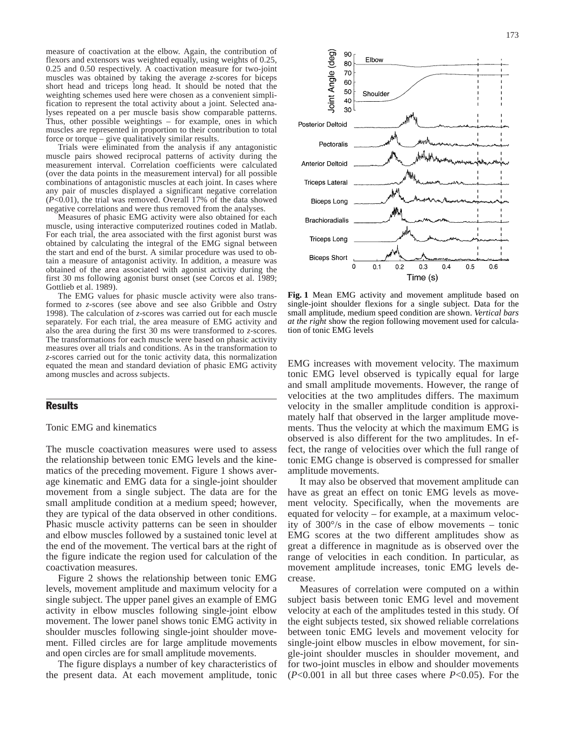measure of coactivation at the elbow. Again, the contribution of flexors and extensors was weighted equally, using weights of 0.25, 0.25 and 0.50 respectively. A coactivation measure for two-joint muscles was obtained by taking the average *z*-scores for biceps short head and triceps long head. It should be noted that the weighting schemes used here were chosen as a convenient simplification to represent the total activity about a joint. Selected analyses repeated on a per muscle basis show comparable patterns. Thus, other possible weightings – for example, ones in which muscles are represented in proportion to their contribution to total force or torque – give qualitatively similar results.

Trials were eliminated from the analysis if any antagonistic muscle pairs showed reciprocal patterns of activity during the measurement interval. Correlation coefficients were calculated (over the data points in the measurement interval) for all possible combinations of antagonistic muscles at each joint. In cases where any pair of muscles displayed a significant negative correlation (*P*<0.01), the trial was removed. Overall 17% of the data showed negative correlations and were thus removed from the analyses.

Measures of phasic EMG activity were also obtained for each muscle, using interactive computerized routines coded in Matlab. For each trial, the area associated with the first agonist burst was obtained by calculating the integral of the EMG signal between the start and end of the burst. A similar procedure was used to obtain a measure of antagonist activity. In addition, a measure was obtained of the area associated with agonist activity during the first 30 ms following agonist burst onset (see Corcos et al. 1989; Gottlieb et al. 1989).

The EMG values for phasic muscle activity were also transformed to *z*-scores (see above and see also Gribble and Ostry 1998). The calculation of *z*-scores was carried out for each muscle separately. For each trial, the area measure of EMG activity and also the area during the first 30 ms were transformed to *z*-scores. The transformations for each muscle were based on phasic activity measures over all trials and conditions. As in the transformation to *z*-scores carried out for the tonic activity data, this normalization equated the mean and standard deviation of phasic EMG activity among muscles and across subjects.

# **Results**

# Tonic EMG and kinematics

The muscle coactivation measures were used to assess the relationship between tonic EMG levels and the kinematics of the preceding movement. Figure 1 shows average kinematic and EMG data for a single-joint shoulder movement from a single subject. The data are for the small amplitude condition at a medium speed; however, they are typical of the data observed in other conditions. Phasic muscle activity patterns can be seen in shoulder and elbow muscles followed by a sustained tonic level at the end of the movement. The vertical bars at the right of the figure indicate the region used for calculation of the coactivation measures.

Figure 2 shows the relationship between tonic EMG levels, movement amplitude and maximum velocity for a single subject. The upper panel gives an example of EMG activity in elbow muscles following single-joint elbow movement. The lower panel shows tonic EMG activity in shoulder muscles following single-joint shoulder movement. Filled circles are for large amplitude movements and open circles are for small amplitude movements.

The figure displays a number of key characteristics of the present data. At each movement amplitude, tonic



**Fig. 1** Mean EMG activity and movement amplitude based on single-joint shoulder flexions for a single subject. Data for the small amplitude, medium speed condition are shown. *Vertical bars at the right* show the region following movement used for calculation of tonic EMG levels

EMG increases with movement velocity. The maximum tonic EMG level observed is typically equal for large and small amplitude movements. However, the range of velocities at the two amplitudes differs. The maximum velocity in the smaller amplitude condition is approximately half that observed in the larger amplitude movements. Thus the velocity at which the maximum EMG is observed is also different for the two amplitudes. In effect, the range of velocities over which the full range of tonic EMG change is observed is compressed for smaller amplitude movements.

It may also be observed that movement amplitude can have as great an effect on tonic EMG levels as movement velocity. Specifically, when the movements are equated for velocity – for example, at a maximum velocity of 300°/s in the case of elbow movements – tonic EMG scores at the two different amplitudes show as great a difference in magnitude as is observed over the range of velocities in each condition. In particular, as movement amplitude increases, tonic EMG levels decrease.

Measures of correlation were computed on a within subject basis between tonic EMG level and movement velocity at each of the amplitudes tested in this study. Of the eight subjects tested, six showed reliable correlations between tonic EMG levels and movement velocity for single-joint elbow muscles in elbow movement, for single-joint shoulder muscles in shoulder movement, and for two-joint muscles in elbow and shoulder movements (*P*<0.001 in all but three cases where *P*<0.05). For the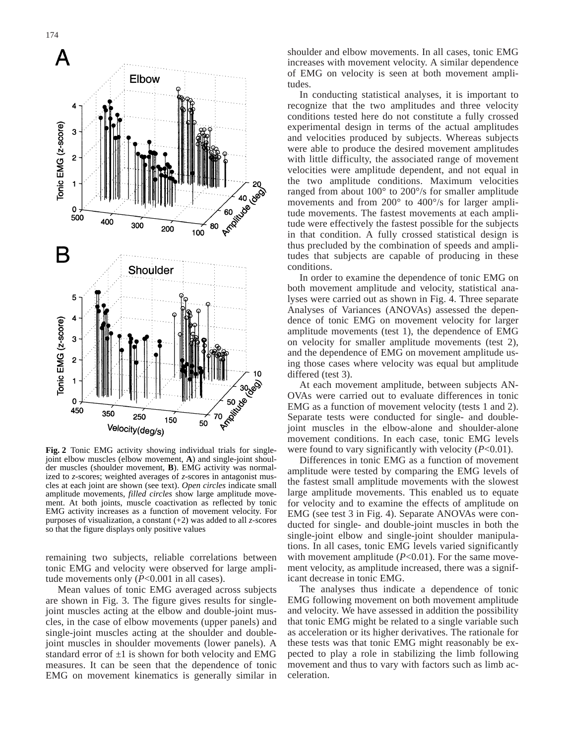

**Fig. 2** Tonic EMG activity showing individual trials for singlejoint elbow muscles (elbow movement, **A**) and single-joint shoulder muscles (shoulder movement, **B**). EMG activity was normalized to *z*-scores; weighted averages of *z*-scores in antagonist muscles at each joint are shown (see text). *Open circles* indicate small amplitude movements, *filled circles* show large amplitude movement. At both joints, muscle coactivation as reflected by tonic EMG activity increases as a function of movement velocity. For purposes of visualization, a constant (+2) was added to all *z*-scores so that the figure displays only positive values

remaining two subjects, reliable correlations between tonic EMG and velocity were observed for large amplitude movements only (*P*<0.001 in all cases).

Mean values of tonic EMG averaged across subjects are shown in Fig. 3. The figure gives results for singlejoint muscles acting at the elbow and double-joint muscles, in the case of elbow movements (upper panels) and single-joint muscles acting at the shoulder and doublejoint muscles in shoulder movements (lower panels). A standard error of  $\pm 1$  is shown for both velocity and EMG measures. It can be seen that the dependence of tonic EMG on movement kinematics is generally similar in

shoulder and elbow movements. In all cases, tonic EMG increases with movement velocity. A similar dependence of EMG on velocity is seen at both movement amplitudes.

In conducting statistical analyses, it is important to recognize that the two amplitudes and three velocity conditions tested here do not constitute a fully crossed experimental design in terms of the actual amplitudes and velocities produced by subjects. Whereas subjects were able to produce the desired movement amplitudes with little difficulty, the associated range of movement velocities were amplitude dependent, and not equal in the two amplitude conditions. Maximum velocities ranged from about 100° to 200°/s for smaller amplitude movements and from 200° to 400°/s for larger amplitude movements. The fastest movements at each amplitude were effectively the fastest possible for the subjects in that condition. A fully crossed statistical design is thus precluded by the combination of speeds and amplitudes that subjects are capable of producing in these conditions.

In order to examine the dependence of tonic EMG on both movement amplitude and velocity, statistical analyses were carried out as shown in Fig. 4. Three separate Analyses of Variances (ANOVAs) assessed the dependence of tonic EMG on movement velocity for larger amplitude movements (test 1), the dependence of EMG on velocity for smaller amplitude movements (test 2), and the dependence of EMG on movement amplitude using those cases where velocity was equal but amplitude differed (test 3).

At each movement amplitude, between subjects AN-OVAs were carried out to evaluate differences in tonic EMG as a function of movement velocity (tests 1 and 2). Separate tests were conducted for single- and doublejoint muscles in the elbow-alone and shoulder-alone movement conditions. In each case, tonic EMG levels were found to vary significantly with velocity (*P*<0.01).

Differences in tonic EMG as a function of movement amplitude were tested by comparing the EMG levels of the fastest small amplitude movements with the slowest large amplitude movements. This enabled us to equate for velocity and to examine the effects of amplitude on EMG (see test 3 in Fig. 4). Separate ANOVAs were conducted for single- and double-joint muscles in both the single-joint elbow and single-joint shoulder manipulations. In all cases, tonic EMG levels varied significantly with movement amplitude (*P*<0.01). For the same movement velocity, as amplitude increased, there was a significant decrease in tonic EMG.

The analyses thus indicate a dependence of tonic EMG following movement on both movement amplitude and velocity. We have assessed in addition the possibility that tonic EMG might be related to a single variable such as acceleration or its higher derivatives. The rationale for these tests was that tonic EMG might reasonably be expected to play a role in stabilizing the limb following movement and thus to vary with factors such as limb acceleration.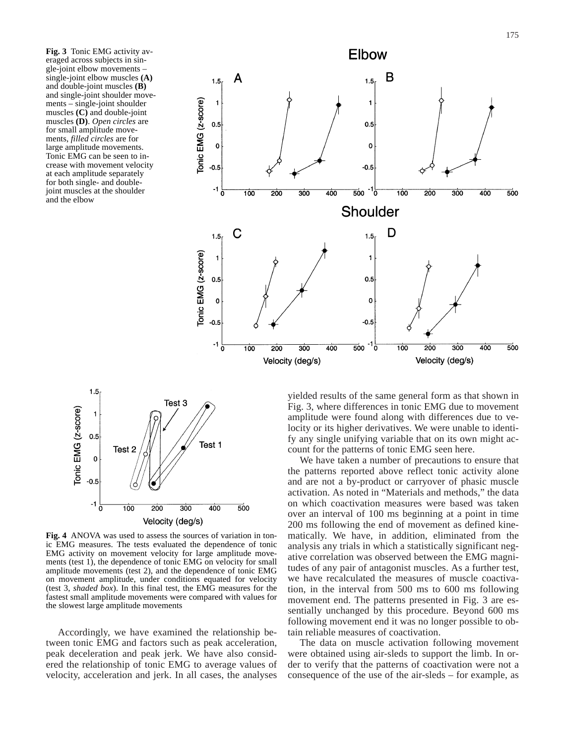**Fig. 3** Tonic EMG activity averaged across subjects in single-joint elbow movements – single-joint elbow muscles **(A)** and double-joint muscles **(B)** and single-joint shoulder movements – single-joint shoulder muscles **(C)** and double-joint muscles **(D)**. *Open circles* are for small amplitude movements, *filled circles* are for large amplitude movements. Tonic EMG can be seen to increase with movement velocity at each amplitude separately for both single- and doublejoint muscles at the shoulder and the elbow





**Fig. 4** ANOVA was used to assess the sources of variation in tonic EMG measures. The tests evaluated the dependence of tonic EMG activity on movement velocity for large amplitude movements (test 1), the dependence of tonic EMG on velocity for small amplitude movements (test 2), and the dependence of tonic EMG on movement amplitude, under conditions equated for velocity (test 3, *shaded box*). In this final test, the EMG measures for the fastest small amplitude movements were compared with values for the slowest large amplitude movements

Accordingly, we have examined the relationship between tonic EMG and factors such as peak acceleration, peak deceleration and peak jerk. We have also considered the relationship of tonic EMG to average values of velocity, acceleration and jerk. In all cases, the analyses yielded results of the same general form as that shown in Fig. 3, where differences in tonic EMG due to movement amplitude were found along with differences due to velocity or its higher derivatives. We were unable to identify any single unifying variable that on its own might account for the patterns of tonic EMG seen here.

We have taken a number of precautions to ensure that the patterns reported above reflect tonic activity alone and are not a by-product or carryover of phasic muscle activation. As noted in "Materials and methods," the data on which coactivation measures were based was taken over an interval of 100 ms beginning at a point in time 200 ms following the end of movement as defined kinematically. We have, in addition, eliminated from the analysis any trials in which a statistically significant negative correlation was observed between the EMG magnitudes of any pair of antagonist muscles. As a further test, we have recalculated the measures of muscle coactivation, in the interval from 500 ms to 600 ms following movement end. The patterns presented in Fig. 3 are essentially unchanged by this procedure. Beyond 600 ms following movement end it was no longer possible to obtain reliable measures of coactivation.

The data on muscle activation following movement were obtained using air-sleds to support the limb. In order to verify that the patterns of coactivation were not a consequence of the use of the air-sleds – for example, as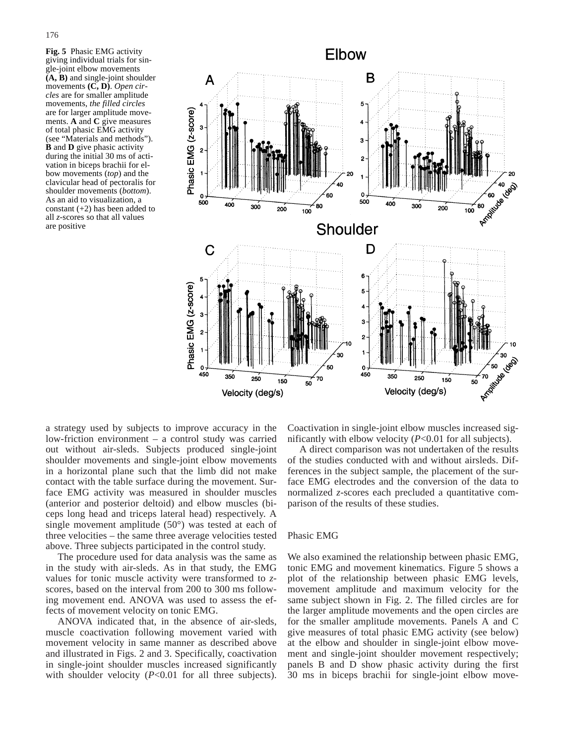**Fig. 5** Phasic EMG activity giving individual trials for single-joint elbow movements  $\check{A}, \check{B}$ ) and single-joint shoulder movements **(C, D)**. *Open circles* are for smaller amplitude movements, *the filled circles* are for larger amplitude movements. **A** and **C** give measures of total phasic EMG activity (see "Materials and methods"). **B** and **D** give phasic activity during the initial 30 ms of activation in biceps brachii for elbow movements (*top*) and the clavicular head of pectoralis for shoulder movements (*bottom*). As an aid to visualization, a constant  $(+2)$  has been added to all *z*-scores so that all values are positive



a strategy used by subjects to improve accuracy in the low-friction environment – a control study was carried out without air-sleds. Subjects produced single-joint shoulder movements and single-joint elbow movements in a horizontal plane such that the limb did not make contact with the table surface during the movement. Surface EMG activity was measured in shoulder muscles (anterior and posterior deltoid) and elbow muscles (biceps long head and triceps lateral head) respectively. A single movement amplitude (50°) was tested at each of three velocities – the same three average velocities tested above. Three subjects participated in the control study.

The procedure used for data analysis was the same as in the study with air-sleds. As in that study, the EMG values for tonic muscle activity were transformed to *z*scores, based on the interval from 200 to 300 ms following movement end. ANOVA was used to assess the effects of movement velocity on tonic EMG.

ANOVA indicated that, in the absence of air-sleds, muscle coactivation following movement varied with movement velocity in same manner as described above and illustrated in Figs. 2 and 3. Specifically, coactivation in single-joint shoulder muscles increased significantly with shoulder velocity (*P*<0.01 for all three subjects). Coactivation in single-joint elbow muscles increased significantly with elbow velocity (*P*<0.01 for all subjects).

A direct comparison was not undertaken of the results of the studies conducted with and without airsleds. Differences in the subject sample, the placement of the surface EMG electrodes and the conversion of the data to normalized *z*-scores each precluded a quantitative comparison of the results of these studies.

## Phasic EMG

We also examined the relationship between phasic EMG, tonic EMG and movement kinematics. Figure 5 shows a plot of the relationship between phasic EMG levels, movement amplitude and maximum velocity for the same subject shown in Fig. 2. The filled circles are for the larger amplitude movements and the open circles are for the smaller amplitude movements. Panels A and C give measures of total phasic EMG activity (see below) at the elbow and shoulder in single-joint elbow movement and single-joint shoulder movement respectively; panels B and D show phasic activity during the first 30 ms in biceps brachii for single-joint elbow move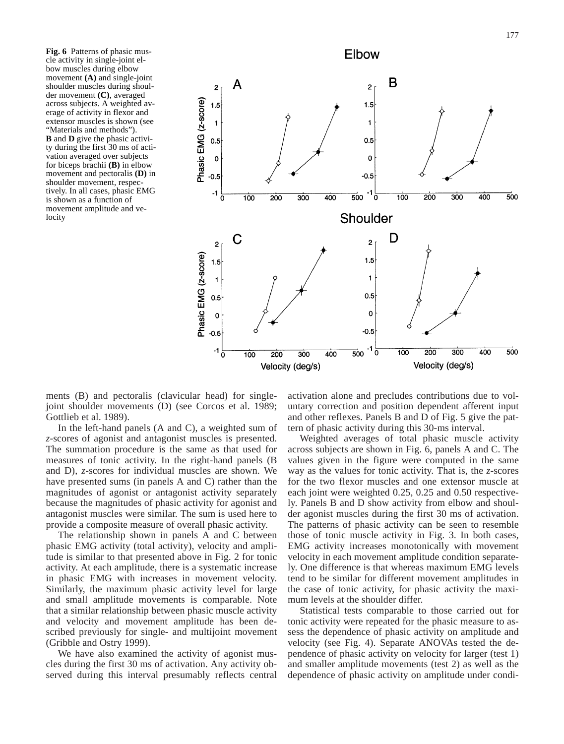**Fig. 6** Patterns of phasic muscle activity in single-joint elbow muscles during elbow movement **(A)** and single-joint shoulder muscles during shoulder movement **(C)**, averaged across subjects. A weighted average of activity in flexor and extensor muscles is shown (see "Materials and methods"). **B** and **D** give the phasic activity during the first 30 ms of activation averaged over subjects for biceps brachii **(B)** in elbow movement and pectoralis **(D)** in shoulder movement, respectively. In all cases, phasic EMG is shown as a function of movement amplitude and velocity



ments (B) and pectoralis (clavicular head) for singlejoint shoulder movements (D) (see Corcos et al. 1989; Gottlieb et al. 1989).

In the left-hand panels (A and C), a weighted sum of *z*-scores of agonist and antagonist muscles is presented. The summation procedure is the same as that used for measures of tonic activity. In the right-hand panels (B and D), *z*-scores for individual muscles are shown. We have presented sums (in panels A and C) rather than the magnitudes of agonist or antagonist activity separately because the magnitudes of phasic activity for agonist and antagonist muscles were similar. The sum is used here to provide a composite measure of overall phasic activity.

The relationship shown in panels A and C between phasic EMG activity (total activity), velocity and amplitude is similar to that presented above in Fig. 2 for tonic activity. At each amplitude, there is a systematic increase in phasic EMG with increases in movement velocity. Similarly, the maximum phasic activity level for large and small amplitude movements is comparable. Note that a similar relationship between phasic muscle activity and velocity and movement amplitude has been described previously for single- and multijoint movement (Gribble and Ostry 1999).

We have also examined the activity of agonist muscles during the first 30 ms of activation. Any activity observed during this interval presumably reflects central activation alone and precludes contributions due to voluntary correction and position dependent afferent input and other reflexes. Panels B and D of Fig. 5 give the pattern of phasic activity during this 30-ms interval.

Weighted averages of total phasic muscle activity across subjects are shown in Fig. 6, panels A and C. The values given in the figure were computed in the same way as the values for tonic activity. That is, the *z*-scores for the two flexor muscles and one extensor muscle at each joint were weighted 0.25, 0.25 and 0.50 respectively. Panels B and D show activity from elbow and shoulder agonist muscles during the first 30 ms of activation. The patterns of phasic activity can be seen to resemble those of tonic muscle activity in Fig. 3. In both cases, EMG activity increases monotonically with movement velocity in each movement amplitude condition separately. One difference is that whereas maximum EMG levels tend to be similar for different movement amplitudes in the case of tonic activity, for phasic activity the maximum levels at the shoulder differ.

Statistical tests comparable to those carried out for tonic activity were repeated for the phasic measure to assess the dependence of phasic activity on amplitude and velocity (see Fig. 4). Separate ANOVAs tested the dependence of phasic activity on velocity for larger (test 1) and smaller amplitude movements (test 2) as well as the dependence of phasic activity on amplitude under condi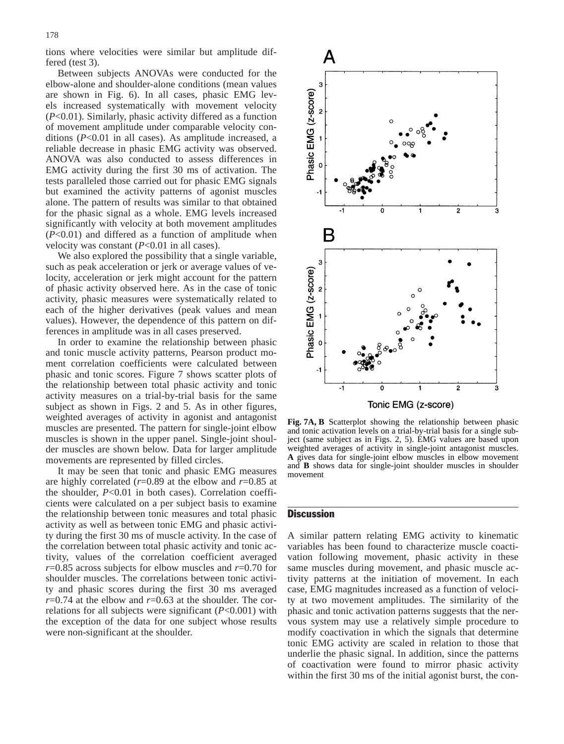tions where velocities were similar but amplitude differed (test 3).

Between subjects ANOVAs were conducted for the elbow-alone and shoulder-alone conditions (mean values are shown in Fig. 6). In all cases, phasic EMG levels increased systematically with movement velocity (*P*<0.01). Similarly, phasic activity differed as a function of movement amplitude under comparable velocity conditions (*P*<0.01 in all cases). As amplitude increased, a reliable decrease in phasic EMG activity was observed. ANOVA was also conducted to assess differences in EMG activity during the first 30 ms of activation. The tests paralleled those carried out for phasic EMG signals but examined the activity patterns of agonist muscles alone. The pattern of results was similar to that obtained for the phasic signal as a whole. EMG levels increased significantly with velocity at both movement amplitudes (*P*<0.01) and differed as a function of amplitude when velocity was constant (*P*<0.01 in all cases).

We also explored the possibility that a single variable, such as peak acceleration or jerk or average values of velocity, acceleration or jerk might account for the pattern of phasic activity observed here. As in the case of tonic activity, phasic measures were systematically related to each of the higher derivatives (peak values and mean values). However, the dependence of this pattern on differences in amplitude was in all cases preserved.

In order to examine the relationship between phasic and tonic muscle activity patterns, Pearson product moment correlation coefficients were calculated between phasic and tonic scores. Figure 7 shows scatter plots of the relationship between total phasic activity and tonic activity measures on a trial-by-trial basis for the same subject as shown in Figs. 2 and 5. As in other figures, weighted averages of activity in agonist and antagonist muscles are presented. The pattern for single-joint elbow muscles is shown in the upper panel. Single-joint shoulder muscles are shown below. Data for larger amplitude movements are represented by filled circles.

It may be seen that tonic and phasic EMG measures are highly correlated (*r*=0.89 at the elbow and *r*=0.85 at the shoulder, *P*<0.01 in both cases). Correlation coefficients were calculated on a per subject basis to examine the relationship between tonic measures and total phasic activity as well as between tonic EMG and phasic activity during the first 30 ms of muscle activity. In the case of the correlation between total phasic activity and tonic activity, values of the correlation coefficient averaged *r*=0.85 across subjects for elbow muscles and *r*=0.70 for shoulder muscles. The correlations between tonic activity and phasic scores during the first 30 ms averaged  $r=0.74$  at the elbow and  $r=0.63$  at the shoulder. The correlations for all subjects were significant (*P*<0.001) with the exception of the data for one subject whose results were non-significant at the shoulder.



**Fig. 7A, B** Scatterplot showing the relationship between phasic and tonic activation levels on a trial-by-trial basis for a single subject (same subject as in Figs. 2, 5). EMG values are based upon weighted averages of activity in single-joint antagonist muscles. **A** gives data for single-joint elbow muscles in elbow movement and **B** shows data for single-joint shoulder muscles in shoulder movement

### **Discussion**

A similar pattern relating EMG activity to kinematic variables has been found to characterize muscle coactivation following movement, phasic activity in these same muscles during movement, and phasic muscle activity patterns at the initiation of movement. In each case, EMG magnitudes increased as a function of velocity at two movement amplitudes. The similarity of the phasic and tonic activation patterns suggests that the nervous system may use a relatively simple procedure to modify coactivation in which the signals that determine tonic EMG activity are scaled in relation to those that underlie the phasic signal. In addition, since the patterns of coactivation were found to mirror phasic activity within the first 30 ms of the initial agonist burst, the con-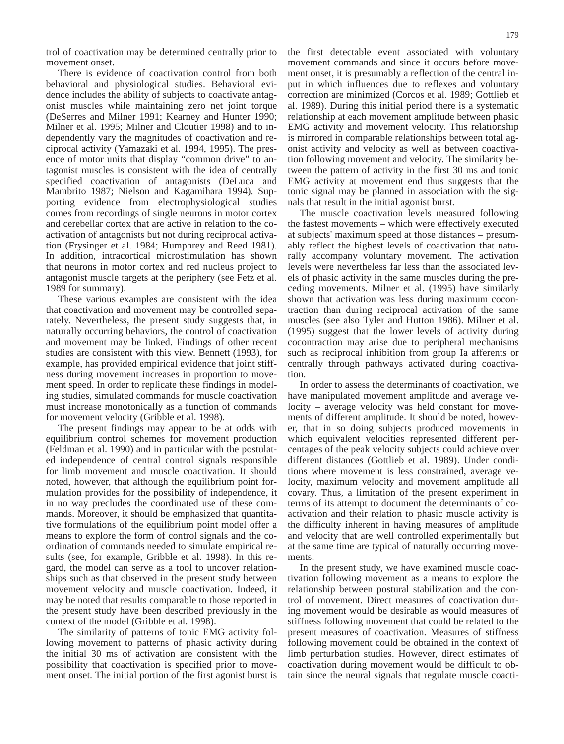trol of coactivation may be determined centrally prior to movement onset.

There is evidence of coactivation control from both behavioral and physiological studies. Behavioral evidence includes the ability of subjects to coactivate antagonist muscles while maintaining zero net joint torque (DeSerres and Milner 1991; Kearney and Hunter 1990; Milner et al. 1995; Milner and Cloutier 1998) and to independently vary the magnitudes of coactivation and reciprocal activity (Yamazaki et al. 1994, 1995). The presence of motor units that display "common drive" to antagonist muscles is consistent with the idea of centrally specified coactivation of antagonists (DeLuca and Mambrito 1987; Nielson and Kagamihara 1994). Supporting evidence from electrophysiological studies comes from recordings of single neurons in motor cortex and cerebellar cortex that are active in relation to the coactivation of antagonists but not during reciprocal activation (Frysinger et al. 1984; Humphrey and Reed 1981). In addition, intracortical microstimulation has shown that neurons in motor cortex and red nucleus project to antagonist muscle targets at the periphery (see Fetz et al. 1989 for summary).

These various examples are consistent with the idea that coactivation and movement may be controlled separately. Nevertheless, the present study suggests that, in naturally occurring behaviors, the control of coactivation and movement may be linked. Findings of other recent studies are consistent with this view. Bennett (1993), for example, has provided empirical evidence that joint stiffness during movement increases in proportion to movement speed. In order to replicate these findings in modeling studies, simulated commands for muscle coactivation must increase monotonically as a function of commands for movement velocity (Gribble et al. 1998).

The present findings may appear to be at odds with equilibrium control schemes for movement production (Feldman et al. 1990) and in particular with the postulated independence of central control signals responsible for limb movement and muscle coactivation. It should noted, however, that although the equilibrium point formulation provides for the possibility of independence, it in no way precludes the coordinated use of these commands. Moreover, it should be emphasized that quantitative formulations of the equilibrium point model offer a means to explore the form of control signals and the coordination of commands needed to simulate empirical results (see, for example, Gribble et al. 1998). In this regard, the model can serve as a tool to uncover relationships such as that observed in the present study between movement velocity and muscle coactivation. Indeed, it may be noted that results comparable to those reported in the present study have been described previously in the context of the model (Gribble et al. 1998).

The similarity of patterns of tonic EMG activity following movement to patterns of phasic activity during the initial 30 ms of activation are consistent with the possibility that coactivation is specified prior to movement onset. The initial portion of the first agonist burst is the first detectable event associated with voluntary movement commands and since it occurs before movement onset, it is presumably a reflection of the central input in which influences due to reflexes and voluntary correction are minimized (Corcos et al. 1989; Gottlieb et al. 1989). During this initial period there is a systematic relationship at each movement amplitude between phasic EMG activity and movement velocity. This relationship is mirrored in comparable relationships between total agonist activity and velocity as well as between coactivation following movement and velocity. The similarity between the pattern of activity in the first 30 ms and tonic EMG activity at movement end thus suggests that the tonic signal may be planned in association with the signals that result in the initial agonist burst.

The muscle coactivation levels measured following the fastest movements – which were effectively executed at subjects' maximum speed at those distances – presumably reflect the highest levels of coactivation that naturally accompany voluntary movement. The activation levels were nevertheless far less than the associated levels of phasic activity in the same muscles during the preceding movements. Milner et al. (1995) have similarly shown that activation was less during maximum cocontraction than during reciprocal activation of the same muscles (see also Tyler and Hutton 1986). Milner et al. (1995) suggest that the lower levels of activity during cocontraction may arise due to peripheral mechanisms such as reciprocal inhibition from group Ia afferents or centrally through pathways activated during coactivation.

In order to assess the determinants of coactivation, we have manipulated movement amplitude and average velocity – average velocity was held constant for movements of different amplitude. It should be noted, however, that in so doing subjects produced movements in which equivalent velocities represented different percentages of the peak velocity subjects could achieve over different distances (Gottlieb et al. 1989). Under conditions where movement is less constrained, average velocity, maximum velocity and movement amplitude all covary. Thus, a limitation of the present experiment in terms of its attempt to document the determinants of coactivation and their relation to phasic muscle activity is the difficulty inherent in having measures of amplitude and velocity that are well controlled experimentally but at the same time are typical of naturally occurring movements.

In the present study, we have examined muscle coactivation following movement as a means to explore the relationship between postural stabilization and the control of movement. Direct measures of coactivation during movement would be desirable as would measures of stiffness following movement that could be related to the present measures of coactivation. Measures of stiffness following movement could be obtained in the context of limb perturbation studies. However, direct estimates of coactivation during movement would be difficult to obtain since the neural signals that regulate muscle coacti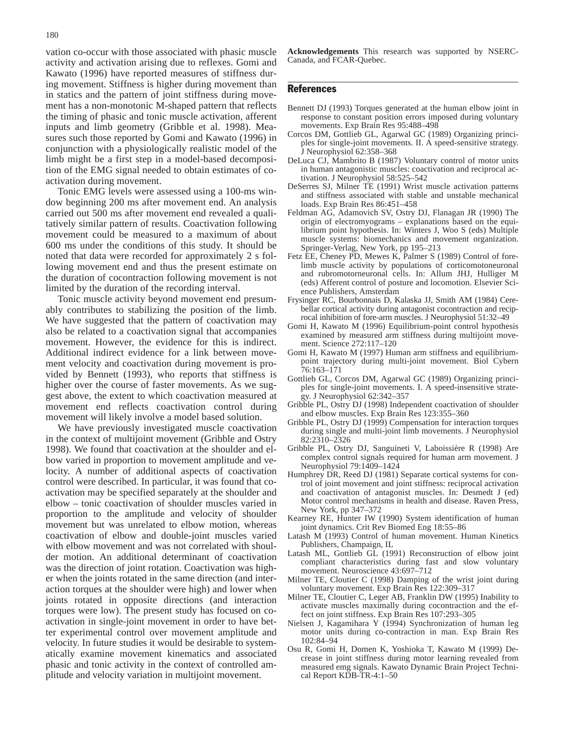vation co-occur with those associated with phasic muscle activity and activation arising due to reflexes. Gomi and Kawato (1996) have reported measures of stiffness during movement. Stiffness is higher during movement than in statics and the pattern of joint stiffness during movement has a non-monotonic M-shaped pattern that reflects the timing of phasic and tonic muscle activation, afferent inputs and limb geometry (Gribble et al. 1998). Measures such those reported by Gomi and Kawato (1996) in conjunction with a physiologically realistic model of the limb might be a first step in a model-based decomposition of the EMG signal needed to obtain estimates of coactivation during movement.

Tonic EMG levels were assessed using a 100-ms window beginning 200 ms after movement end. An analysis carried out 500 ms after movement end revealed a qualitatively similar pattern of results. Coactivation following movement could be measured to a maximum of about 600 ms under the conditions of this study. It should be noted that data were recorded for approximately 2 s following movement end and thus the present estimate on the duration of cocontraction following movement is not limited by the duration of the recording interval.

Tonic muscle activity beyond movement end presumably contributes to stabilizing the position of the limb. We have suggested that the pattern of coactivation may also be related to a coactivation signal that accompanies movement. However, the evidence for this is indirect. Additional indirect evidence for a link between movement velocity and coactivation during movement is provided by Bennett (1993), who reports that stiffness is higher over the course of faster movements. As we suggest above, the extent to which coactivation measured at movement end reflects coactivation control during movement will likely involve a model based solution.

We have previously investigated muscle coactivation in the context of multijoint movement (Gribble and Ostry 1998). We found that coactivation at the shoulder and elbow varied in proportion to movement amplitude and velocity. A number of additional aspects of coactivation control were described. In particular, it was found that coactivation may be specified separately at the shoulder and elbow – tonic coactivation of shoulder muscles varied in proportion to the amplitude and velocity of shoulder movement but was unrelated to elbow motion, whereas coactivation of elbow and double-joint muscles varied with elbow movement and was not correlated with shoulder motion. An additional determinant of coactivation was the direction of joint rotation. Coactivation was higher when the joints rotated in the same direction (and interaction torques at the shoulder were high) and lower when joints rotated in opposite directions (and interaction torques were low). The present study has focused on coactivation in single-joint movement in order to have better experimental control over movement amplitude and velocity. In future studies it would be desirable to systematically examine movement kinematics and associated phasic and tonic activity in the context of controlled amplitude and velocity variation in multijoint movement.

**Acknowledgements** This research was supported by NSERC-Canada, and FCAR-Quebec.

#### References

- Bennett DJ (1993) Torques generated at the human elbow joint in response to constant position errors imposed during voluntary movements. Exp Brain Res 95:488–498
- Corcos DM, Gottlieb GL, Agarwal GC (1989) Organizing principles for single-joint movements. II. A speed-sensitive strategy. J Neurophysiol 62:358–368
- DeLuca CJ, Mambrito B (1987) Voluntary control of motor units in human antagonistic muscles: coactivation and reciprocal activation. J Neurophysiol 58:525–542
- DeSerres SJ, Milner TE (1991) Wrist muscle activation patterns and stiffness associated with stable and unstable mechanical loads. Exp Brain Res 86:451–458
- Feldman AG, Adamovich SV, Ostry DJ, Flanagan JR (1990) The origin of electromyograms – explanations based on the equilibrium point hypothesis. In: Winters J, Woo S (eds) Multiple muscle systems: biomechanics and movement organization. Springer-Verlag, New York, pp 195–213
- Fetz EE, Cheney PD, Mewes K, Palmer S (1989) Control of forelimb muscle activity by populations of corticomotoneuronal and rubromotorneuronal cells. In: Allum JHJ, Hulliger M (eds) Afferent control of posture and locomotion. Elsevier Science Publishers, Amsterdam
- Frysinger RC, Bourbonnais D, Kalaska JJ, Smith AM (1984) Cerebellar cortical activity during antagonist cocontraction and reciprocal inhibition of fore-arm muscles. J Neurophysiol 51:32–49
- Gomi H, Kawato M (1996) Equilibrium-point control hypothesis examined by measured arm stiffness during multijoint movement. Science 272:117–120
- Gomi H, Kawato M (1997) Human arm stiffness and equilibriumpoint trajectory during multi-joint movement. Biol Cybern 76:163–171
- Gottlieb GL, Corcos DM, Agarwal GC (1989) Organizing principles for single-joint movements. I. A speed-insensitive strategy. J Neurophysiol 62:342–357
- Gribble PL, Ostry DJ (1998) Independent coactivation of shoulder and elbow muscles. Exp Brain Res 123:355–360
- Gribble PL, Ostry DJ (1999) Compensation for interaction torques during single and multi-joint limb movements. J Neurophysiol 82:2310–2326
- Gribble PL, Ostry DJ, Sanguineti V, Laboissière R (1998) Are complex control signals required for human arm movement. J Neurophysiol 79:1409–1424
- Humphrey DR, Reed DJ (1981) Separate cortical systems for control of joint movement and joint stiffness: reciprocal activation and coactivation of antagonist muscles. In: Desmedt J (ed) Motor control mechanisms in health and disease. Raven Press, New York, pp 347–372
- Kearney RE, Hunter IW (1990) System identification of human joint dynamics. Crit Rev Biomed Eng 18:55–86
- Latash M (1993) Control of human movement. Human Kinetics Publishers, Champaign, IL
- Latash ML, Gottlieb GL (1991) Reconstruction of elbow joint compliant characteristics during fast and slow voluntary movement. Neuroscience 43:697–712
- Milner TE, Cloutier C (1998) Damping of the wrist joint during voluntary movement. Exp Brain Res 122:309–317
- Milner TE, Cloutier C, Leger AB, Franklin DW (1995) Inability to activate muscles maximally during cocontraction and the effect on joint stiffness. Exp Brain Res 107:293–305
- Nielsen J, Kagamihara Y (1994) Synchronization of human leg motor units during co-contraction in man. Exp Brain Res 102:84–94
- Osu R, Gomi H, Domen K, Yoshioka T, Kawato M (1999) Decrease in joint stiffness during motor learning revealed from measured emg signals. Kawato Dynamic Brain Project Technical Report KDB-TR-4:1–50